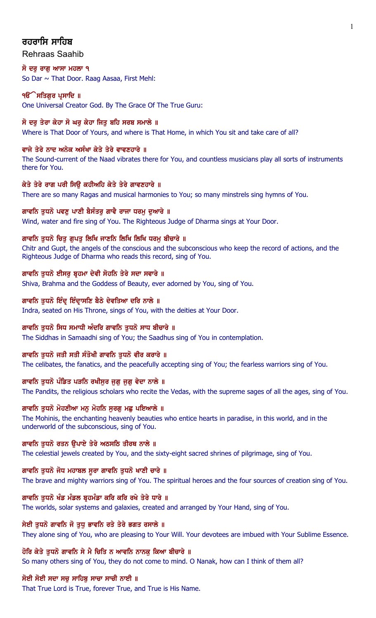# ਰਹਰਾਸਿ ਸਾਹਿ**ਬ**

## Rehraas Saahib

ਸੋ ਦਰ ਰਾਗ ਆਸਾ ਮਹਲਾ ੧ So Dar ~ That Door. Raag Aasaa, First Mehl:

## ੧**ੳੇਸਤਿਗੁਰ ਪ੍ਰਸਾਦਿ** ॥

One Universal Creator God. By The Grace Of The True Guru:

## ਸੋ ਦਰ ਤੇਰਾ ਕੇਹਾ ਸੋ ਘਰ ਕੇਹਾ ਜਿਤ ਬਹਿ ਸਰਬ ਸਮਾਲੇ ॥

Where is That Door of Yours, and where is That Home, in which You sit and take care of all?

## ਵਾਜੇ ਤੇਰੇ ਨਾਦ ਅਨੇਕ ਅਸੰਖਾ ਕੇਤੇ ਤੇਰੇ ਵਾਵਣਹਾਰੇ ॥

The Sound-current of the Naad vibrates there for You, and countless musicians play all sorts of instruments there for You.

## ਕੇਤੇ ਤੇਰੇ ਰਾਗ ਪਰੀ ਸਿਉ ਕਹੀਅਹਿ ਕੇਤੇ ਤੇਰੇ ਗਾਵਣਹਾਰੇ ॥

There are so many Ragas and musical harmonies to You; so many minstrels sing hymns of You.

## ਗਾਵਨਿ ਤੁਧਨੋ ਪਵਣੂ ਪਾਣੀ ਬੈਸੰਤਰੂ ਗਾਵੈ ਰਾਜਾ ਧਰਮੂ ਦੁਆਰੇ ॥

Wind, water and fire sing of You. The Righteous Judge of Dharma sings at Your Door.

## ਗਾਵਨਿ ਤੁਧਨੋ ਚਿਤੁ ਗੁਪਤੁ ਲਿਖਿ ਜਾਣਨਿ ਲਿਖਿ ਲਿਖਿ ਧਰਮੁ ਬੀਚਾਰੇ ॥

Chitr and Gupt, the angels of the conscious and the subconscious who keep the record of actions, and the Righteous Judge of Dharma who reads this record, sing of You.

## ਗਾਵਨਿ ਤਧਨੋ ਈਸਰ ਬੁਹਮਾ ਦੇਵੀ ਸੋਹਨਿ ਤੇਰੇ ਸਦਾ ਸਵਾਰੇ ॥

Shiva, Brahma and the Goddess of Beauty, ever adorned by You, sing of You.

## ਗਾਵਨਿ ਤੁਧਨੋ ਇੰਦ੍ਰ ਇੰਦ੍ਰਾਸਣਿ ਬੈਠੇ ਦੇਵਤਿਆ ਦਰਿ ਨਾਲੇ ॥

Indra, seated on His Throne, sings of You, with the deities at Your Door.

## ਗਾਵਨਿ ਤਧਨੋ ਸਿਧ ਸਮਾਧੀ ਅੰਦਰਿ ਗਾਵਨਿ ਤਧਨੋ ਸਾਧ ਬੀਚਾਰੇ ॥

The Siddhas in Samaadhi sing of You; the Saadhus sing of You in contemplation.

## ਗਾਵਨਿ ਤਧਨੋ ਜਤੀ ਸਤੀ ਸੰਤੋਖੀ ਗਾਵਨਿ ਤਧਨੋ ਵੀਰ ਕਰਾਰੇ ॥

The celibates, the fanatics, and the peacefully accepting sing of You; the fearless warriors sing of You.

# ਗਾਵਨਿ ਤੁਧਨੋ ਪੰਡਿਤ ਪੜਨਿ ਰਖੀਸੁਰ ਜੁਗੁ ਜੁਗੁ ਵੇਦਾ ਨਾਲੇ ॥

The Pandits, the religious scholars who recite the Vedas, with the supreme sages of all the ages, sing of You.

## ਗਾਵਨਿ ਤੁਧਨੋ ਮੋਹਣੀਆ ਮਨੁ ਮੋਹਨਿ ਸੁਰਗੁ ਮਛੁ ਪਇਆਲੇ ॥

The Mohinis, the enchanting heavenly beauties who entice hearts in paradise, in this world, and in the underworld of the subconscious, sing of You.

## ਗਾਵਨਿ ਤੁਧਨੋ ਰਤਨ ਉਪਾਏ ਤੇਰੇ ਅਠਸਠਿ ਤੀਰਥ ਨਾਲੇ ॥

The celestial jewels created by You, and the sixty-eight sacred shrines of pilgrimage, sing of You.

## ਗਾਵਨਿ ਤੁਧਨੋ ਜੋਧ ਮਹਾਬਲ ਸੁਰਾ ਗਾਵਨਿ ਤੁਧਨੋ ਖਾਣੀ ਚਾਰੇ ॥

The brave and mighty warriors sing of You. The spiritual heroes and the four sources of creation sing of You.

## ਗਾਵਨਿ ਤਧਨੋ ਖੰਡ ਮੰਡਲ ਬੁਹਮੰਡਾ ਕਰਿ ਕਰਿ ਰਖੇ ਤੇਰੇ ਧਾਰੇ ॥

The worlds, solar systems and galaxies, created and arranged by Your Hand, sing of You.

## ਸੇਈ ਤੁਧਨੋ ਗਾਵਨਿ ਜੋ ਤੁਧੁ ਭਾਵਨਿ ਰਤੇ ਤੇਰੇ ਭਗਤ ਰਸਾਲੇ ॥

They alone sing of You, who are pleasing to Your Will. Your devotees are imbued with Your Sublime Essence.

## ਹੋਰਿ ਕੇਤੇ ਤੁਧਨੋ ਗਾਵਨਿ ਸੇ ਮੈ ਚਿਤਿ ਨ ਆਵਨਿ ਨਾਨਕੁ ਕਿਆ ਬੀਚਾਰੇ ॥

So many others sing of You, they do not come to mind. O Nanak, how can I think of them all?

## ਸੋਈ ਸੋਈ ਸਦਾ ਸਚ ਸਾਹਿਬ ਸਾਚਾ ਸਾਚੀ ਨਾਈ ॥

That True Lord is True, forever True, and True is His Name.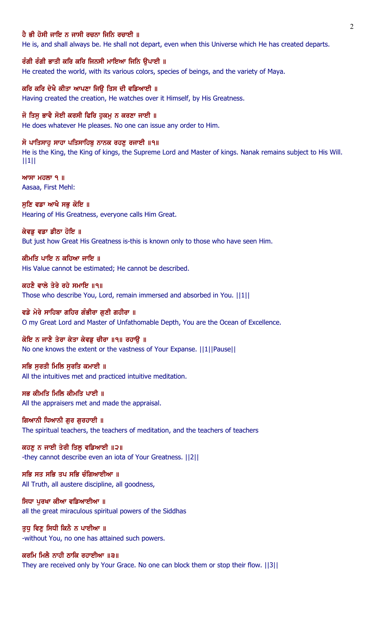#### ਹੈ ਭੀ ਹੋਸੀ ਜਾਇ ਨ ਜਾਸੀ ਰਚਨਾ ਜਿਨਿ ਰਚਾਈ ॥

He is, and shall always be. He shall not depart, even when this Universe which He has created departs.

ਰੰਗੀ ਰੰਗੀ ਭਾਤੀ ਕਰਿ ਕਰਿ ਜਿਨਸੀ ਮਾਇਆ ਜਿਨਿ ਉਪਾਈ ॥ He created the world, with its various colors, species of beings, and the variety of Maya.

ਕਰਿ ਕਰਿ ਦੇਖੈ ਕੀਤਾ ਆਪਣਾ ਜਿੳ ਤਿਸ ਦੀ ਵਡਿਆਈ ॥ Having created the creation, He watches over it Himself, by His Greatness.

ਜੋ ਤਿਸ ਭਾਵੈ ਸੋਈ ਕਰਸੀ ਫਿਰਿ ਹਕਮ ਨ ਕਰਣਾ ਜਾਈ ॥ He does whatever He pleases. No one can issue any order to Him.

ਸੋ ਪਾਤਿਸਾਹੂ ਸਾਹਾ ਪਤਿਸਾਹਿਬੂ ਨਾਨਕ ਰਹਣੂ ਰਜਾਈ ॥੧॥ He is the King, the King of kings, the Supreme Lord and Master of kings. Nanak remains subject to His Will. ||1||

 $MT$  ਮਹਲਾ ੧ ॥ Aasaa, First Mehl:

ਸੁਣਿ ਵਡਾ ਆਖੈ ਸਭੁ ਕੋਇ ॥ Hearing of His Greatness, everyone calls Him Great.

ਕੇਵਡ ਵਡਾ ਡੀਠਾ ਹੋਇ ॥ But just how Great His Greatness is-this is known only to those who have seen Him.

ਕੀਮਤਿ ਪਾਇ ਨ ਕਹਿਆ ਜਾਇ ॥ His Value cannot be estimated; He cannot be described.

ਕਹਣੈ ਵਾਲੇ ਤੇਰੇ ਰਹੇ ਸਮਾਇ ॥੧॥ Those who describe You, Lord, remain immersed and absorbed in You. ||1||

ਵਡੇ ਮੇਰੇ ਸਾਹਿਬਾ ਗਹਿਰ ਗੰਭੀਰਾ ਗਣੀ ਗਹੀਰਾ ॥ O my Great Lord and Master of Unfathomable Depth, You are the Ocean of Excellence.

ਕੋਇ ਨ ਜਾਣੈ ਤੇਰਾ ਕੇਤਾ ਕੇਵਡ ਚੀਰਾ ॥੧॥ ਰਹਾੳ ॥ No one knows the extent or the vastness of Your Expanse. ||1||Pause||

ਸਭਿ ਸੂਰਤੀ ਮਿਲਿ ਸੂਰਤਿ ਕਮਾਈ ॥ All the intuitives met and practiced intuitive meditation.

ਸਭ ਕੀਮਤਿ ਮਿਲਿ ਕੀਮਤਿ ਪਾਈ ॥ All the appraisers met and made the appraisal.

ਗਿਆਨੀ ਧਿਆਨੀ ਗਰ ਗਰਹਾਈ ॥ The spiritual teachers, the teachers of meditation, and the teachers of teachers

ਕਹਣੁ ਨ ਜਾਈ ਤੇਰੀ ਤਿਲੁ ਵਡਿਆਈ ॥੨॥ -they cannot describe even an iota of Your Greatness. ||2||

ਸਭਿ ਸਤ ਸਭਿ ਤਪ ਸਭਿ ਚੰਗਿਆਈਆ ॥ All Truth, all austere discipline, all goodness,

ਸਿਧਾ ਪਰਖਾ ਕੀਆ ਵਡਿਆਈਆ ॥ all the great miraculous spiritual powers of the Siddhas

ਤੁਧੂ ਵਿਣੂ ਸਿਧੀ ਕਿਨੈ ਨ ਪਾਈਆ ॥ -without You, no one has attained such powers.

ਕਰਮਿ ਮਿਲੈ ਨਾਹੀ ਠਾਕਿ ਰਹਾਈਆ ॥੩॥ They are received only by Your Grace. No one can block them or stop their flow. ||3||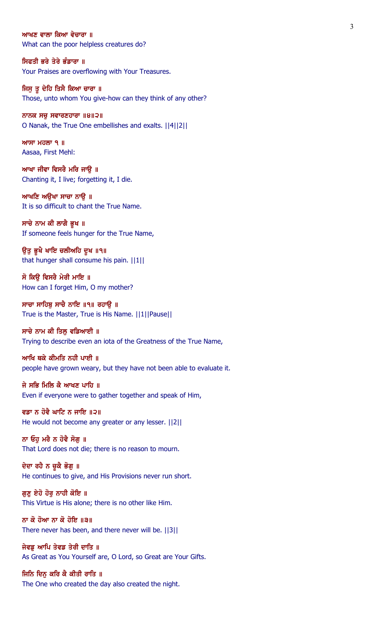#### ਆਖਣ ਵਾਲਾ ਕਿਆ ਵੇਚਾਰਾ ॥

What can the poor helpless creatures do?

## ਸਿਫਤੀ ਭਰੇ ਤੇਰੇ ਭੰਡਾਰਾ ॥

Your Praises are overflowing with Your Treasures.

#### ਜਿਸੂ ਤੂ ਦੇਹਿ ਤਿਸੈ ਕਿਆ ਚਾਰਾ ॥ Those, unto whom You give-how can they think of any other?

ਨਾਨਕ ਸਚ ਸਵਾਰਣਹਾਰਾ  $\|9\|2\|$ O Nanak, the True One embellishes and exalts. ||4||2||

 $MT$   $H$  $\overline{O}$   $\overline{O}$   $\overline{O}$   $\overline{O}$   $\overline{O}$   $\overline{O}$   $\overline{O}$   $\overline{O}$   $\overline{O}$   $\overline{O}$   $\overline{O}$   $\overline{O}$   $\overline{O}$   $\overline{O}$   $\overline{O}$   $\overline{O}$   $\overline{O}$   $\overline{O}$   $\overline{O}$   $\overline{O}$   $\overline{O}$   $\overline{O}$   $\overline{O}$   $\overline{O}$ Aasaa, First Mehl:

ਆਖਾ ਜੀਵਾ ਵਿਸਰੈ ਮਰਿ ਜਾਉ ॥ Chanting it, I live; forgetting it, I die.

ਆਖਣਿ ਅਉਖਾ ਸਾਚਾ ਨਾਉ ॥ It is so difficult to chant the True Name.

ਸਾਚੇ ਨਾਮ ਕੀ ਲਾਗੈ ਭੂਖ ॥ If someone feels hunger for the True Name,

ਉਤੁ ਭੁਖੈ ਖਾਇ ਚਲੀਅਹਿ ਦੁਖ ॥੧॥ that hunger shall consume his pain. ||1||

ਸੋ ਕਿੳ ਵਿਸਰੈ ਮੇਰੀ ਮਾਇ ॥ How can I forget Him, O my mother?

ਸਾਚਾ ਸਾਹਿਬੂ ਸਾਚੈ ਨਾਇ ॥੧॥ ਰਹਾਉ ॥ True is the Master, True is His Name. ||1||Pause||

#### ਸਾਚੇ ਨਾਮ ਕੀ ਤਿਲੂ ਵਡਿਆਈ ॥

Trying to describe even an iota of the Greatness of the True Name,

ਆਖਿ ਥਕੇ ਕੀਮਤਿ ਨਹੀ ਪਾਈ ॥ people have grown weary, but they have not been able to evaluate it.

ਜੇ ਸਭਿ ਮਿਲਿ ਕੈ ਆਖਣ ਪਾਹਿ ॥ Even if everyone were to gather together and speak of Him,

ਵਡਾ ਨ ਹੋਵੈ ਘਾਟਿ ਨ ਜਾਇ ॥੨॥ He would not become any greater or any lesser. ||2||

ਨਾ ਓਹੁ ਮਰੈ ਨ ਹੋਵੈ ਸੋਗੁ ॥ That Lord does not die; there is no reason to mourn.

ਦੇਦਾ ਰਹੈ ਨ ਚੁਕੈ ਭੋਗੁ ॥ He continues to give, and His Provisions never run short.

ਗੁਣੂ ਏਹੋ ਹੋਰੂ ਨਾਹੀ ਕੋਇ ॥ This Virtue is His alone; there is no other like Him.

ਨਾ ਕੋ ਹੋਆ ਨਾ ਕੋ ਹੋਇ ॥੩॥ There never has been, and there never will be. ||3||

ਜੇਵਡੂ ਆਪਿ ਤੇਵਡ ਤੇਰੀ ਦਾਤਿ ॥ As Great as You Yourself are, O Lord, so Great are Your Gifts.

ਜਿਨਿ ਦਿਨੂ ਕਰਿ ਕੈ ਕੀਤੀ ਰਾਤਿ ॥ The One who created the day also created the night.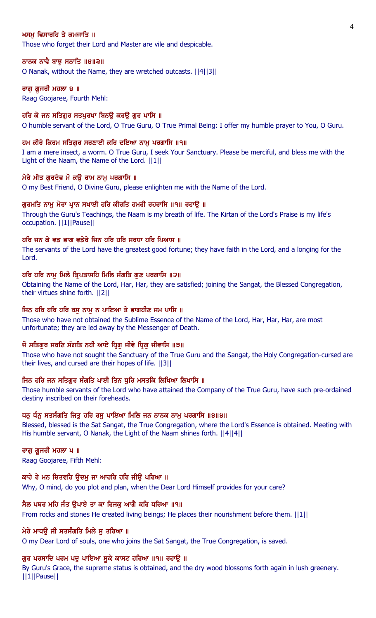#### ਖਸਮ ਵਿਸਾਰਹਿ ਤੇ ਕਮਜਾਤਿ ॥

Those who forget their Lord and Master are vile and despicable.

#### ਨਾਨਕ ਨਾਵੈ ਬਾਝੂ ਸਨਾਤਿ ॥੪॥੩॥

O Nanak, without the Name, they are wretched outcasts. ||4||3||

#### ਰਾਗ ਗ਼ਜਰੀ ਮਹਲਾ ੪ ॥

Raag Goojaree, Fourth Mehl:

#### ਹਰਿ ਕੇ ਜਨ ਸਤਿਗਰ ਸਤਪਰਖਾ ਬਿਨੳ ਕਰੳ ਗਰ ਪਾਸਿ ॥

O humble servant of the Lord, O True Guru, O True Primal Being: I offer my humble prayer to You, O Guru.

#### ਹਮ ਕੀਰੇ ਕਿਰਮ ਸਤਿਗੁਰ ਸਰਣਾਈ ਕਰਿ ਦਇਆ ਨਾਮੁ ਪਰਗਾਸਿ ॥੧॥

I am a mere insect, a worm. O True Guru, I seek Your Sanctuary. Please be merciful, and bless me with the Light of the Naam, the Name of the Lord. ||1||

#### ਮੇਰੇ ਮੀਤ ਗੁਰਦੇਵ ਮੋ ਕਉ ਰਾਮ ਨਾਮੁ ਪਰਗਾਸਿ ॥

O my Best Friend, O Divine Guru, please enlighten me with the Name of the Lord.

#### ਗੁਰਮਤਿ ਨਾਮੁ ਮੇਰਾ ਪ੍ਰਾਨ ਸਖਾਈ ਹਰਿ ਕੀਰਤਿ ਹਮਰੀ ਰਹਰਾਸਿ ॥੧॥ ਰਹਾਉ ॥

Through the Guru's Teachings, the Naam is my breath of life. The Kirtan of the Lord's Praise is my life's occupation. ||1||Pause||

## ਹਰਿ ਜਨ ਕੇ ਵਡ ਭਾਗ ਵਡੇਰੇ ਜਿਨ ਹਰਿ ਹਰਿ ਸਰਧਾ ਹਰਿ ਪਿਆਸ ॥

The servants of the Lord have the greatest good fortune; they have faith in the Lord, and a longing for the Lord.

#### ਹਰਿ ਹਰਿ ਨਾਮੂ ਮਿਲੈ ਤ੍ਰਿਪਤਾਸਹਿ ਮਿਲਿ ਸੰਗਤਿ ਗੁਣ ਪਰਗਾਸਿ ॥੨॥

Obtaining the Name of the Lord, Har, Har, they are satisfied; joining the Sangat, the Blessed Congregation, their virtues shine forth. ||2||

#### ਜਿਨ ਹਰਿ ਹਰਿ ਹਰਿ ਰਸੁ ਨਾਮੁ ਨ ਪਾਇਆ ਤੇ ਭਾਗਹੀਣ ਜਮ ਪਾਸਿ ॥

Those who have not obtained the Sublime Essence of the Name of the Lord, Har, Har, Har, are most unfortunate; they are led away by the Messenger of Death.

#### ਜੋ ਸਤਿਗੁਰ ਸਰਣਿ ਸੰਗਤਿ ਨਹੀ ਆਏ ਧ੍ਰਿਗੁ ਜੀਵੇ ਧ੍ਰਿਗੁ ਜੀਵਾਸਿ ॥੩॥

Those who have not sought the Sanctuary of the True Guru and the Sangat, the Holy Congregation-cursed are their lives, and cursed are their hopes of life. ||3||

#### ਜਿਨ ਹਰਿ ਜਨ ਸਤਿਗੁਰ ਸੰਗਤਿ ਪਾਈ ਤਿਨ ਧੁਰਿ ਮਸਤਕਿ ਲਿਖਿਆ ਲਿਖਾਸਿ ॥

Those humble servants of the Lord who have attained the Company of the True Guru, have such pre-ordained destiny inscribed on their foreheads.

#### ਧਨੂ ਧੰਨੂ ਸਤਸੰਗਤਿ ਜਿਤੂ ਹਰਿ ਰਸੂ ਪਾਇਆ ਮਿਲਿ ਜਨ ਨਾਨਕ ਨਾਮੂ ਪਰਗਾਸਿ ॥੪॥੪॥

Blessed, blessed is the Sat Sangat, the True Congregation, where the Lord's Essence is obtained. Meeting with His humble servant, O Nanak, the Light of the Naam shines forth. ||4||4||

# ਰਾਗ ਗ਼ਜਰੀ ਮਹਲਾ ਪ ॥

Raag Goojaree, Fifth Mehl:

#### ਕਾਹੇ ਰੇ ਮਨ ਚਿਤਵਹਿ ਉਦਮੁ ਜਾ ਆਹਰਿ ਹਰਿ ਜੀਉ ਪਰਿਆ ॥

Why, O mind, do you plot and plan, when the Dear Lord Himself provides for your care?

#### ਸੈਲ ਪਥਰ ਮਹਿ ਜੰਤ ੳਪਾਏ ਤਾ ਕਾ ਰਿਜਕ ਆਗੈ ਕਰਿ ਧਰਿਆ ॥੧॥

From rocks and stones He created living beings; He places their nourishment before them. ||1||

#### ਮੇਰੇ ਮਾਧੳ ਜੀ ਸਤਸੰਗਤਿ ਮਿਲੇ ਸ ਤਰਿਆ ॥

O my Dear Lord of souls, one who joins the Sat Sangat, the True Congregation, is saved.

#### ਗਰ ਪਰਸਾਦਿ ਪਰਮ ਪਦ ਪਾਇਆ ਸਕੇ ਕਾਸਟ ਹਰਿਆ ॥੧॥ ਰਹਾੳ ॥

By Guru's Grace, the supreme status is obtained, and the dry wood blossoms forth again in lush greenery. ||1||Pause||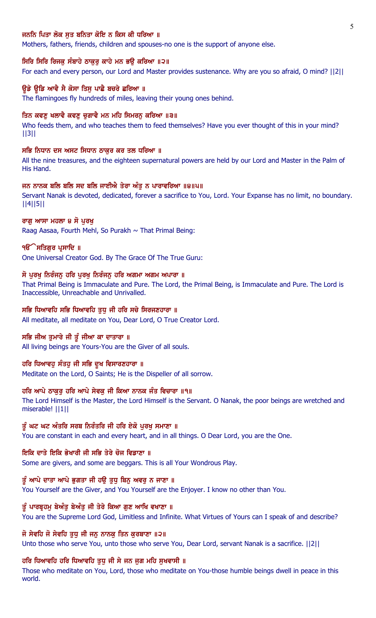## ਜਨਨਿ ਪਿਤਾ ਲੋਕ ਸਤ ਬਨਿਤਾ ਕੋਇ ਨ ਕਿਸ ਕੀ ਧਰਿਆ ॥

Mothers, fathers, friends, children and spouses-no one is the support of anyone else.

#### ਸਿਰਿ ਸਿਰਿ ਰਿਜਕੁ ਸੰਬਾਹੇ ਠਾਕੁਰੂ ਕਾਹੇ ਮਨ ਭਉ ਕਰਿਆ ॥੨॥

For each and every person, our Lord and Master provides sustenance. Why are you so afraid, O mind? ||2||

#### ਉਡੇ ਉਡਿ ਆਵੈ ਸੈ ਕੋਸਾ ਤਿਸ ਪਾਛੈ ਬਚਰੇ ਛਰਿਆ ॥

The flamingoes fly hundreds of miles, leaving their young ones behind.

#### ਤਿਨ ਕਵਣ ਖਲਾਵੈ ਕਵਣ ਚਗਾਵੈ ਮਨ ਮਹਿ ਸਿਮਰਨ ਕਰਿਆ ॥੩॥

Who feeds them, and who teaches them to feed themselves? Have you ever thought of this in your mind? ||3||

#### ਸਭਿ ਨਿਧਾਨ ਦਸ ਅਸਟ ਸਿਧਾਨ ਠਾਕਰ ਕਰ ਤਲ ਧਰਿਆ ॥

All the nine treasures, and the eighteen supernatural powers are held by our Lord and Master in the Palm of His Hand.

#### ਜਨ ਨਾਨਕ ਬਲਿ ਬਲਿ ਸਦ ਬਲਿ ਜਾਈਐ ਤੇਰਾ ਅੰਤੁ ਨ ਪਾਰਾਵਰਿਆ ॥੪॥੫॥

Servant Nanak is devoted, dedicated, forever a sacrifice to You, Lord. Your Expanse has no limit, no boundary. ||4||5||

#### ਰਾਗ ਆਸਾ ਮਹਲਾ ੪ ਸੋ ਪਰਖ

Raag Aasaa, Fourth Mehl, So Purakh  $\sim$  That Primal Being:

#### ੧**ੳੱ ਸਤਿਗੁਰ ਪ੍ਰਸਾਦਿ** ॥

One Universal Creator God. By The Grace Of The True Guru:

#### ਸੋ ਪੂਰਖੂ ਨਿਰੰਜਨੂ ਹਰਿ ਪੂਰਖੂ ਨਿਰੰਜਨੂ ਹਰਿ ਅਗਮਾ ਅਗਮ ਅਪਾਰਾ ॥

That Primal Being is Immaculate and Pure. The Lord, the Primal Being, is Immaculate and Pure. The Lord is Inaccessible, Unreachable and Unrivalled.

## ਸਭਿ ਧਿਆਵਹਿ ਸਭਿ ਧਿਆਵਹਿ ਤੁਧੁ ਜੀ ਹਰਿ ਸਚੇ ਸਿਰਜਣਹਾਰਾ ॥

All meditate, all meditate on You, Dear Lord, O True Creator Lord.

#### ਸਭਿ ਜੀਅ ਤੁਮਾਰੇ ਜੀ ਤੂੰ ਜੀਆ ਕਾ ਦਾਤਾਰਾ ॥

All living beings are Yours-You are the Giver of all souls.

#### ਹਰਿ ਧਿਆਵਹੁ ਸੰਤਹੁ ਜੀ ਸਭਿ ਦੁਖ ਵਿਸਾਰਣਹਾਰਾ ॥

Meditate on the Lord, O Saints; He is the Dispeller of all sorrow.

#### ਹਰਿ ਆਪੇ ਠਾਕੁਰੂ ਹਰਿ ਆਪੇ ਸੇਵਕੂ ਜੀ ਕਿਆ ਨਾਨਕ ਜੰਤ ਵਿਚਾਰਾ ॥੧॥

The Lord Himself is the Master, the Lord Himself is the Servant. O Nanak, the poor beings are wretched and miserable! ||1||

#### ਤੂੰ ਘਟ ਘਟ ਅੰਤਰਿ ਸਰਬ ਨਿਰੰਤਰਿ ਜੀ ਹਰਿ ਏਕੋ ਪੁਰਖੂ ਸਮਾਣਾ ॥

You are constant in each and every heart, and in all things. O Dear Lord, you are the One.

## ਇਕਿ ਦਾਤੇ ਇਕਿ ਭੇਖਾਰੀ ਜੀ ਸਭਿ ਤੇਰੇ ਚੋਜ ਵਿਡਾਣਾ ॥

Some are givers, and some are beggars. This is all Your Wondrous Play.

#### ਤੰ ਆਪੇ ਦਾਤਾ ਆਪੇ ਭਗਤਾ ਜੀ ਹੳ ਤਧ ਬਿਨ ਅਵਰ ਨ ਜਾਣਾ ॥

You Yourself are the Giver, and You Yourself are the Enjoyer. I know no other than You.

#### ਤੂੰ ਪਾਰਬੁਹਮ ਬੇਅੰਤ ਬੇਅੰਤ ਜੀ ਤੇਰੇ ਕਿਆ ਗਣ ਆਖਿ ਵਖਾਣਾ ॥

You are the Supreme Lord God, Limitless and Infinite. What Virtues of Yours can I speak of and describe?

## ਜੋ ਸੇਵਹਿ ਜੋ ਸੇਵਹਿ ਤੁਧੁ ਜੀ ਜਨੁ ਨਾਨਕੁ ਤਿਨ ਕੁਰਬਾਣਾ ॥੨॥

Unto those who serve You, unto those who serve You, Dear Lord, servant Nanak is a sacrifice. ||2||

#### ਹਰਿ ਧਿਆਵਹਿ ਹਰਿ ਧਿਆਵਹਿ ਤੁਧੂ ਜੀ ਸੇ ਜਨ ਜੁਗ ਮਹਿ ਸੁਖਵਾਸੀ ॥

Those who meditate on You, Lord, those who meditate on You-those humble beings dwell in peace in this world.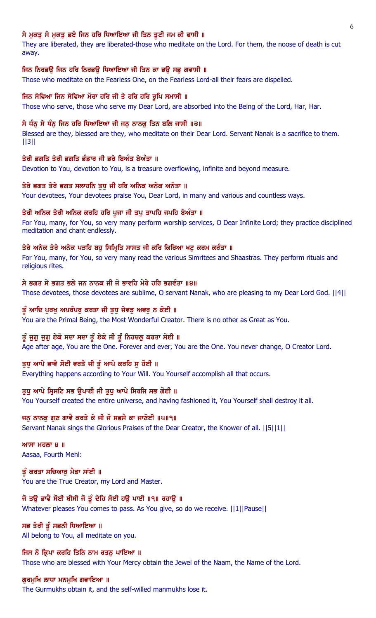# ਸੇ ਮੁਕਤੂ ਸੇ ਮੁਕਤੂ ਭਏ ਜਿਨ ਹਰਿ ਧਿਆਇਆ ਜੀ ਤਿਨ ਤੁਟੀ ਜਮ ਕੀ ਫਾਸੀ ॥

They are liberated, they are liberated-those who meditate on the Lord. For them, the noose of death is cut away.

## ਜਿਨ ਨਿਰਭਉ ਜਿਨ ਹਰਿ ਨਿਰਭਉ ਧਿਆਇਆ ਜੀ ਤਿਨ ਕਾ ਭਉ ਸਭੁ ਗਵਾਸੀ ॥

Those who meditate on the Fearless One, on the Fearless Lord-all their fears are dispelled.

## ਜਿਨ ਸੇਵਿਆ ਜਿਨ ਸੇਵਿਆ ਮੇਰਾ ਹਰਿ ਜੀ ਤੇ ਹਰਿ ਹਰਿ ਰੁਪਿ ਸਮਾਸੀ ॥

Those who serve, those who serve my Dear Lord, are absorbed into the Being of the Lord, Har, Har.

## ਸੇ ਧੰਨੂ ਸੇ ਧੰਨੂ ਜਿਨ ਹਰਿ ਧਿਆਇਆ ਜੀ ਜਨੂ ਨਾਨਕੂ ਤਿਨ ਬਲਿ ਜਾਸੀ ॥੩॥

Blessed are they, blessed are they, who meditate on their Dear Lord. Servant Nanak is a sacrifice to them. ||3||

## ਤੇਰੀ ਭਗਤਿ ਤੇਰੀ ਭਗਤਿ ਭੰਡਾਰ ਜੀ ਭਰੇ ਬਿਅੰਤ ਬੇਅੰਤਾ ॥

Devotion to You, devotion to You, is a treasure overflowing, infinite and beyond measure.

## ਤੇਰੇ ਭਗਤ ਤੇਰੇ ਭਗਤ ਸਲਾਹਨਿ ਤੁਧੂ ਜੀ ਹਰਿ ਅਨਿਕ ਅਨੇਕ ਅਨੰਤਾ ॥

Your devotees, Your devotees praise You, Dear Lord, in many and various and countless ways.

## ਤੇਰੀ ਅਨਿਕ ਤੇਰੀ ਅਨਿਕ ਕਰਹਿ ਹਰਿ ਪੁਜਾ ਜੀ ਤਪੁ ਤਾਪਹਿ ਜਪਹਿ ਬੇਅੰਤਾ ॥

For You, many, for You, so very many perform worship services, O Dear Infinite Lord; they practice disciplined meditation and chant endlessly.

## ਤੇਰੇ ਅਨੇਕ ਤੇਰੇ ਅਨੇਕ ਪੜਹਿ ਬਹੁ ਸਿਮ੍ਰਿਤਿ ਸਾਸਤ ਜੀ ਕਰਿ ਕਿਰਿਆ ਖਟੂ ਕਰਮ ਕਰੰਤਾ ॥

For You, many, for You, so very many read the various Simritees and Shaastras. They perform rituals and religious rites.

## ਸੇ ਭਗਤ ਸੇ ਭਗਤ ਭਲੇ ਜਨ ਨਾਨਕ ਜੀ ਜੋ ਭਾਵਹਿ ਮੇਰੇ ਹਰਿ ਭਗਵੰਤਾ ॥੪॥

Those devotees, those devotees are sublime, O servant Nanak, who are pleasing to my Dear Lord God. ||4||

## ਤੂੰ ਆਦਿ ਪੁਰਖੁ ਅਪਰੰਪਰੁ ਕਰਤਾ ਜੀ ਤੁਧੁ ਜੇਵਡੁ ਅਵਰੁ ਨ ਕੋਈ ॥

You are the Primal Being, the Most Wonderful Creator. There is no other as Great as You.

## ਤੂੰ ਜੁਗੁ ਜੁਗੁ ਏਕੋ ਸਦਾ ਸਦਾ ਤੂੰ ਏਕੋ ਜੀ ਤੂੰ ਨਿਹਚਲੂ ਕਰਤਾ ਸੋਈ ॥

Age after age, You are the One. Forever and ever, You are the One. You never change, O Creator Lord.

## ਤੁਧੂ ਆਪੇ ਭਾਵੈ ਸੋਈ ਵਰਤੈ ਜੀ ਤੂੰ ਆਪੇ ਕਰਹਿ ਸੁ ਹੋਈ ॥

Everything happens according to Your Will. You Yourself accomplish all that occurs.

## ਤੁਧੂ ਆਪੇ ਸ੍ਰਿਸਟਿ ਸਭ ਉਪਾਈ ਜੀ ਤੁਧੂ ਆਪੇ ਸਿਰਜਿ ਸਭ ਗੋਈ ॥

You Yourself created the entire universe, and having fashioned it, You Yourself shall destroy it all.

## ਜਨੂ ਨਾਨਕੂ ਗੁਣ ਗਾਵੈ ਕਰਤੇ ਕੇ ਜੀ ਜੋ ਸਭਸੈ ਕਾ ਜਾਣੋਈ ॥੫॥੧॥

Servant Nanak sings the Glorious Praises of the Dear Creator, the Knower of all. ||5||1||

 $MT$ ਮਹਲਾ 8 ॥ Aasaa, Fourth Mehl:

ਤੂੰ ਕਰਤਾ ਸਚਿਆਰੂ ਮੈਡਾ ਸਾਂਈ ॥ You are the True Creator, my Lord and Master.

## ਜੋ ਤਉ ਭਾਵੈ ਸੋਈ ਥੀਸੀ ਜੋ ਤੂੰ ਦੇਹਿ ਸੋਈ ਹਉ ਪਾਈ ॥੧॥ ਰਹਾਉ ॥

Whatever pleases You comes to pass. As You give, so do we receive. ||1||Pause||

## ਸਭ ਤੇਰੀ ਤੂੰ ਸਭਨੀ ਧਿਆਇਆ ॥

All belong to You, all meditate on you.

ਜਿਸ ਨੋ ਕ੍ਰਿਪਾ ਕਰਹਿ ਤਿਨਿ ਨਾਮ ਰਤਨੂ ਪਾਇਆ ॥ Those who are blessed with Your Mercy obtain the Jewel of the Naam, the Name of the Lord.

## ਗੁਰਮੁਖਿ ਲਾਧਾ ਮਨਮੁਖਿ ਗਵਾਇਆ ॥

The Gurmukhs obtain it, and the self-willed manmukhs lose it.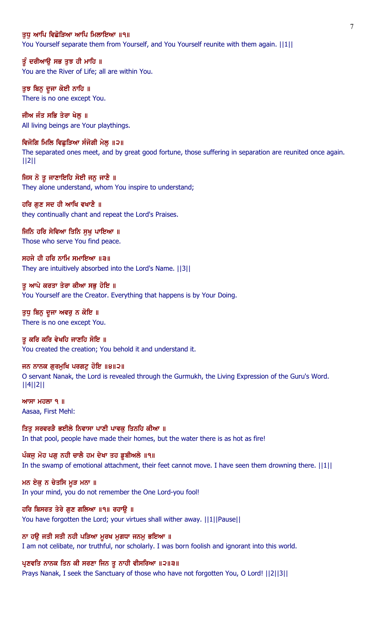#### ਤਧ ਆਪਿ ਵਿਛੋੜਿਆ ਆਪਿ ਮਿਲਾਇਆ ॥੧॥

You Yourself separate them from Yourself, and You Yourself reunite with them again.  $||1||$ 

ਤੂੰ ਦਰੀਆਉ ਸਭ ਤੁਝ ਹੀ ਮਾਹਿ ॥ You are the River of Life; all are within You.

ਤੁਝ ਬਿਨੂ ਦੂਜਾ ਕੋਈ ਨਾਹਿ ॥ There is no one except You.

ਜੀਅ ਜੰਤ ਸਭਿ ਤੇਰਾ ਖੇਲ ॥ All living beings are Your playthings.

ਵਿਜੋਗਿ ਮਿਲਿ ਵਿਛੁੜਿਆ ਸੰਜੋਗੀ ਮੇਲੂ ॥੨॥ The separated ones meet, and by great good fortune, those suffering in separation are reunited once again. ||2||

ਜਿਸ ਨੋ ਤੂ ਜਾਣਾਇਹਿ ਸੋਈ ਜਨੁ ਜਾਣੈ ॥ They alone understand, whom You inspire to understand;

ਹਰਿ ਗੁਣ ਸਦ ਹੀ ਆਖਿ ਵਖਾਣੈ ॥ they continually chant and repeat the Lord's Praises.

ਜਿਨਿ ਹਰਿ ਸੇਵਿਆ ਤਿਨਿ ਸੁਖੁ ਪਾਇਆ ॥ Those who serve You find peace.

ਸਹਜੇ ਹੀ ਹਰਿ ਨਾਮਿ ਸਮਾਇਆ ॥੩॥ They are intuitively absorbed into the Lord's Name. ||3||

ਤੂ ਆਪੇ ਕਰਤਾ ਤੇਰਾ ਕੀਆ ਸਭੂ ਹੋਇ ॥ You Yourself are the Creator. Everything that happens is by Your Doing.

ਤੁਧੂ ਬਿਨੂ ਦੂਜਾ ਅਵਰੂ ਨ ਕੋਇ ॥ There is no one except You.

ਤ ਕਰਿ ਕਰਿ ਵੇਖਹਿ ਜਾਣਹਿ ਸੋਇ ॥ You created the creation; You behold it and understand it.

ਜਨ ਨਾਨਕ ਗੁਰਮੁਖਿ ਪਰਗਟੁ ਹੋਇ ॥੪॥੨॥ O servant Nanak, the Lord is revealed through the Gurmukh, the Living Expression of the Guru's Word. ||4||2||

 $MT$   $H$  $\overline{O}$   $\overline{O}$   $\overline{O}$   $\overline{O}$   $\overline{O}$   $\overline{O}$   $\overline{O}$   $\overline{O}$   $\overline{O}$   $\overline{O}$   $\overline{O}$   $\overline{O}$   $\overline{O}$   $\overline{O}$   $\overline{O}$   $\overline{O}$   $\overline{O}$   $\overline{O}$   $\overline{O}$   $\overline{O}$   $\overline{O}$   $\overline{O}$   $\overline{O}$   $\overline{O}$ Aasaa, First Mehl:

ਤਿਤੂ ਸਰਵਰੜੈ ਭਈਲੇ ਨਿਵਾਸਾ ਪਾਣੀ ਪਾਵਕੂ ਤਿਨਹਿ ਕੀਆ ॥ In that pool, people have made their homes, but the water there is as hot as fire!

ਪੰਕਜੂ ਮੋਹ ਪਗੂ ਨਹੀ ਚਾਲੈ ਹਮ ਦੇਖਾ ਤਹ ਡੁਬੀਅਲੇ ॥੧॥ In the swamp of emotional attachment, their feet cannot move. I have seen them drowning there.  $||1||$ 

ਮਨ ਏਕੁ ਨ ਚੇਤਸਿ ਮੁੜ ਮਨਾ ॥ In your mind, you do not remember the One Lord-you fool!

ਹਰਿ ਬਿਸਰਤ ਤੇਰੇ ਗੁਣ ਗਲਿਆ ॥੧॥ ਰਹਾਉ ॥ You have forgotten the Lord; your virtues shall wither away. ||1||Pause||

ਨਾ ਹਉ ਜਤੀ ਸਤੀ ਨਹੀ ਪੜਿਆ ਮੁਰਖ ਮੁਗਧਾ ਜਨਮੂ ਭਇਆ ॥ I am not celibate, nor truthful, nor scholarly. I was born foolish and ignorant into this world.

ਪ੍ਰਣਵਤਿ ਨਾਨਕ ਤਿਨ ਕੀ ਸਰਣਾ ਜਿਨ ਤੁ ਨਾਹੀ ਵੀਸਰਿਆ ॥੨॥੩॥ Prays Nanak, I seek the Sanctuary of those who have not forgotten You, O Lord! ||2||3||